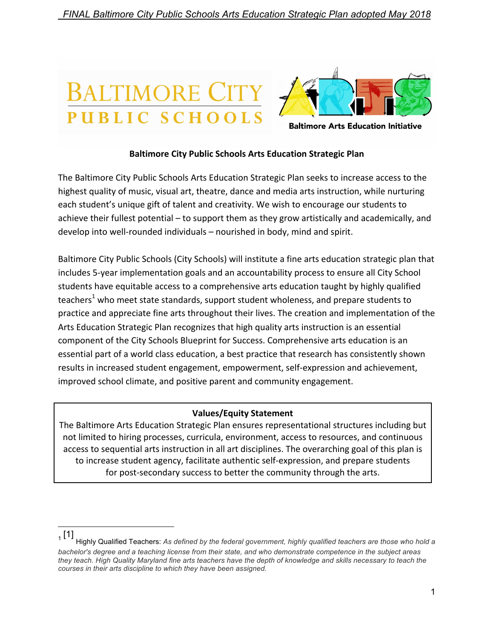# BALTIMORE ( PUBLIC SCHOOL



**Baltimore Arts Education Initiative** 

### **Baltimore City Public Schools Arts Education Strategic Plan**

The Baltimore City Public Schools Arts Education Strategic Plan seeks to increase access to the highest quality of music, visual art, theatre, dance and media arts instruction, while nurturing each student's unique gift of talent and creativity. We wish to encourage our students to achieve their fullest potential  $-$  to support them as they grow artistically and academically, and  $develop$  into well-rounded individuals – nourished in body, mind and spirit.

Baltimore City Public Schools (City Schools) will institute a fine arts education strategic plan that includes 5-year implementation goals and an accountability process to ensure all City School students have equitable access to a comprehensive arts education taught by highly qualified teachers<sup>1</sup> who meet state standards, support student wholeness, and prepare students to practice and appreciate fine arts throughout their lives. The creation and implementation of the Arts Education Strategic Plan recognizes that high quality arts instruction is an essential component of the City Schools Blueprint for Success. Comprehensive arts education is an essential part of a world class education, a best practice that research has consistently shown results in increased student engagement, empowerment, self-expression and achievement, improved school climate, and positive parent and community engagement.

#### **Values/Equity Statement**

The Baltimore Arts Education Strategic Plan ensures representational structures including but not limited to hiring processes, curricula, environment, access to resources, and continuous access to sequential arts instruction in all art disciplines. The overarching goal of this plan is to increase student agency, facilitate authentic self-expression, and prepare students for post-secondary success to better the community through the arts.

 $(1]$ 

Highly Qualified Teachers: As defined by the federal government, highly qualified teachers are those who hold a *bachelor's degree and a teaching license from their state, and who demonstrate competence in the subject areas they teach. High Quality Maryland fine arts teachers have the depth of knowledge and skills necessary to teach the courses in their arts discipline to which they have been assigned.*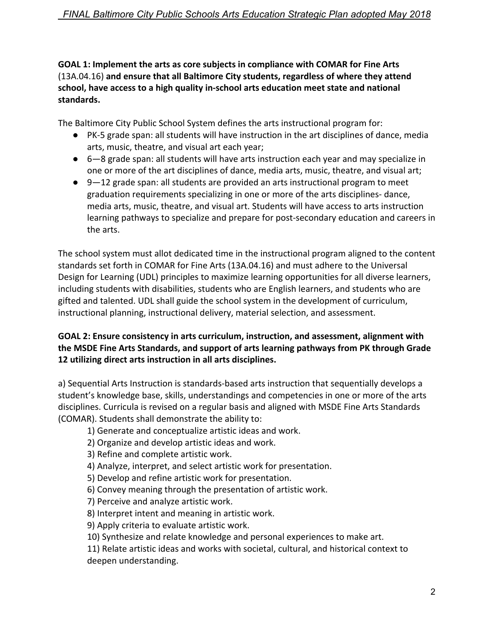## **GOAL 1: Implement the arts as core subjects in compliance with COMAR for Fine Arts**  $(13A.04.16)$  and ensure that all Baltimore City students, regardless of where they attend school, have access to a high quality in-school arts education meet state and national **standards.**

The Baltimore City Public School System defines the arts instructional program for:

- PK-5 grade span: all students will have instruction in the art disciplines of dance, media arts, music, theatre, and visual art each year;
- $\bullet$  6–8 grade span: all students will have arts instruction each year and may specialize in one or more of the art disciplines of dance, media arts, music, theatre, and visual art;
- $\bullet$  9-12 grade span: all students are provided an arts instructional program to meet graduation requirements specializing in one or more of the arts disciplines- dance, media arts, music, theatre, and visual art. Students will have access to arts instruction learning pathways to specialize and prepare for post-secondary education and careers in the arts.

The school system must allot dedicated time in the instructional program aligned to the content standards set forth in COMAR for Fine Arts (13A.04.16) and must adhere to the Universal Design for Learning (UDL) principles to maximize learning opportunities for all diverse learners, including students with disabilities, students who are English learners, and students who are gifted and talented. UDL shall guide the school system in the development of curriculum, instructional planning, instructional delivery, material selection, and assessment.

## GOAL 2: Ensure consistency in arts curriculum, instruction, and assessment, alignment with the MSDE Fine Arts Standards, and support of arts learning pathways from PK through Grade **12** utilizing direct arts instruction in all arts disciplines.

a) Sequential Arts Instruction is standards-based arts instruction that sequentially develops a student's knowledge base, skills, understandings and competencies in one or more of the arts disciplines. Curricula is revised on a regular basis and aligned with MSDE Fine Arts Standards (COMAR). Students shall demonstrate the ability to:

1) Generate and conceptualize artistic ideas and work.

- 2) Organize and develop artistic ideas and work.
- 3) Refine and complete artistic work.
- 4) Analyze, interpret, and select artistic work for presentation.
- 5) Develop and refine artistic work for presentation.
- 6) Convey meaning through the presentation of artistic work.
- 7) Perceive and analyze artistic work.
- 8) Interpret intent and meaning in artistic work.
- 9) Apply criteria to evaluate artistic work.
- 10) Synthesize and relate knowledge and personal experiences to make art.

11) Relate artistic ideas and works with societal, cultural, and historical context to deepen understanding.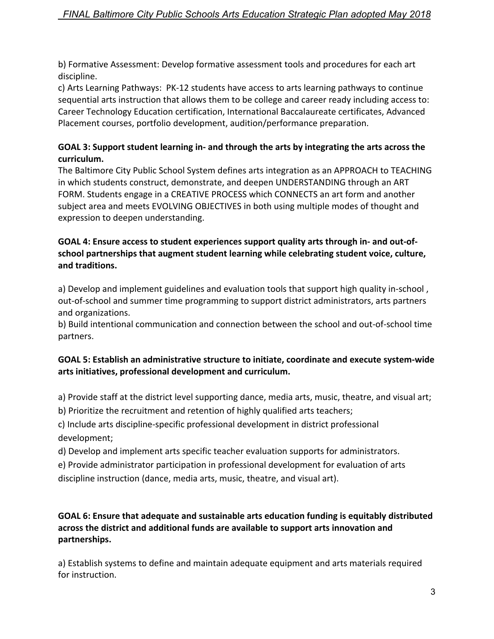b) Formative Assessment: Develop formative assessment tools and procedures for each art discipline.

c) Arts Learning Pathways: PK-12 students have access to arts learning pathways to continue sequential arts instruction that allows them to be college and career ready including access to: Career Technology Education certification, International Baccalaureate certificates, Advanced Placement courses, portfolio development, audition/performance preparation.

# GOAL 3: Support student learning in- and through the arts by integrating the arts across the **curriculum.**

The Baltimore City Public School System defines arts integration as an APPROACH to TEACHING in which students construct, demonstrate, and deepen UNDERSTANDING through an ART FORM. Students engage in a CREATIVE PROCESS which CONNECTS an art form and another subject area and meets EVOLVING OBJECTIVES in both using multiple modes of thought and expression to deepen understanding.

## **GOAL 4: Ensure access to student experiences support quality arts through in- and out-of**school partnerships that augment student learning while celebrating student voice, culture, **and traditions.**

a) Develop and implement guidelines and evaluation tools that support high quality in-school, out-of-school and summer time programming to support district administrators, arts partners and organizations.

b) Build intentional communication and connection between the school and out-of-school time partners. 

## GOAL 5: Establish an administrative structure to initiate, coordinate and execute system-wide arts initiatives, professional development and curriculum.

a) Provide staff at the district level supporting dance, media arts, music, theatre, and visual art;

b) Prioritize the recruitment and retention of highly qualified arts teachers;

c) Include arts discipline-specific professional development in district professional development;

d) Develop and implement arts specific teacher evaluation supports for administrators.

e) Provide administrator participation in professional development for evaluation of arts discipline instruction (dance, media arts, music, theatre, and visual art).

## GOAL 6: Ensure that adequate and sustainable arts education funding is equitably distributed across the district and additional funds are available to support arts innovation and **partnerships.**

a) Establish systems to define and maintain adequate equipment and arts materials required for instruction.